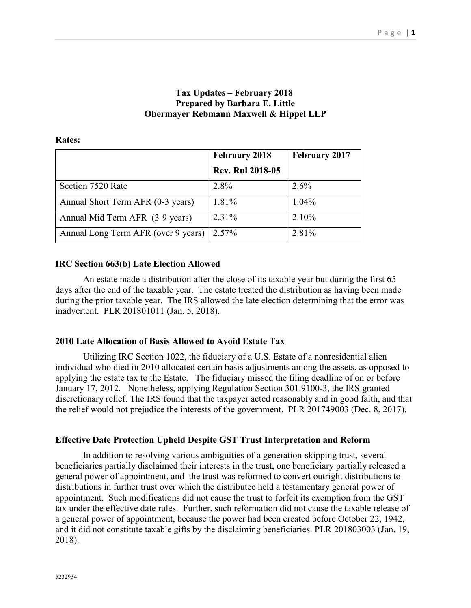# **Tax Updates – February 2018 Prepared by Barbara E. Little Obermayer Rebmann Maxwell & Hippel LLP**

|                                     | <b>February 2018</b>    | <b>February 2017</b> |
|-------------------------------------|-------------------------|----------------------|
|                                     | <b>Rev. Rul 2018-05</b> |                      |
| Section 7520 Rate                   | 2.8%                    | 2.6%                 |
| Annual Short Term AFR (0-3 years)   | 1.81%                   | 1.04%                |
| Annual Mid Term AFR (3-9 years)     | 2.31%                   | 2.10%                |
| Annual Long Term AFR (over 9 years) | 2.57%                   | 2.81%                |

#### **Rates:**

## **IRC Section 663(b) Late Election Allowed**

An estate made a distribution after the close of its taxable year but during the first 65 days after the end of the taxable year. The estate treated the distribution as having been made during the prior taxable year. The IRS allowed the late election determining that the error was inadvertent. PLR 201801011 (Jan. 5, 2018).

## **2010 Late Allocation of Basis Allowed to Avoid Estate Tax**

Utilizing IRC Section 1022, the fiduciary of a U.S. Estate of a nonresidential alien individual who died in 2010 allocated certain basis adjustments among the assets, as opposed to applying the estate tax to the Estate. The fiduciary missed the filing deadline of on or before January 17, 2012. Nonetheless, applying Regulation Section 301.9100-3, the IRS granted discretionary relief. The IRS found that the taxpayer acted reasonably and in good faith, and that the relief would not prejudice the interests of the government. PLR 201749003 (Dec. 8, 2017).

## **Effective Date Protection Upheld Despite GST Trust Interpretation and Reform**

In addition to resolving various ambiguities of a generation-skipping trust, several beneficiaries partially disclaimed their interests in the trust, one beneficiary partially released a general power of appointment, and the trust was reformed to convert outright distributions to distributions in further trust over which the distributee held a testamentary general power of appointment. Such modifications did not cause the trust to forfeit its exemption from the GST tax under the effective date rules. Further, such reformation did not cause the taxable release of a general power of appointment, because the power had been created before October 22, 1942, and it did not constitute taxable gifts by the disclaiming beneficiaries. PLR 201803003 (Jan. 19, 2018).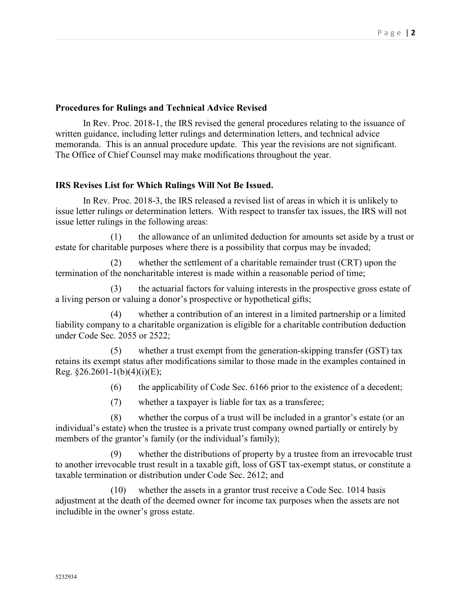#### **Procedures for Rulings and Technical Advice Revised**

In Rev. Proc. 2018-1, the IRS revised the general procedures relating to the issuance of written guidance, including letter rulings and determination letters, and technical advice memoranda. This is an annual procedure update. This year the revisions are not significant. The Office of Chief Counsel may make modifications throughout the year.

## **IRS Revises List for Which Rulings Will Not Be Issued.**

In Rev. Proc. 2018-3, the IRS released a revised list of areas in which it is unlikely to issue letter rulings or determination letters. With respect to transfer tax issues, the IRS will not issue letter rulings in the following areas:

 (1) the allowance of an unlimited deduction for amounts set aside by a trust or estate for charitable purposes where there is a possibility that corpus may be invaded;

 (2) whether the settlement of a charitable remainder trust (CRT) upon the termination of the noncharitable interest is made within a reasonable period of time;

 (3) the actuarial factors for valuing interests in the prospective gross estate of a living person or valuing a donor's prospective or hypothetical gifts;

 (4) whether a contribution of an interest in a limited partnership or a limited liability company to a charitable organization is eligible for a charitable contribution deduction under Code Sec. 2055 or 2522;

 (5) whether a trust exempt from the generation-skipping transfer (GST) tax retains its exempt status after modifications similar to those made in the examples contained in Reg.  $§26.2601-1(b)(4)(i)(E);$ 

(6) the applicability of Code Sec. 6166 prior to the existence of a decedent;

(7) whether a taxpayer is liable for tax as a transferee;

 (8) whether the corpus of a trust will be included in a grantor's estate (or an individual's estate) when the trustee is a private trust company owned partially or entirely by members of the grantor's family (or the individual's family);

 (9) whether the distributions of property by a trustee from an irrevocable trust to another irrevocable trust result in a taxable gift, loss of GST tax-exempt status, or constitute a taxable termination or distribution under Code Sec. 2612; and

(10) whether the assets in a grantor trust receive a Code Sec. 1014 basis adjustment at the death of the deemed owner for income tax purposes when the assets are not includible in the owner's gross estate.